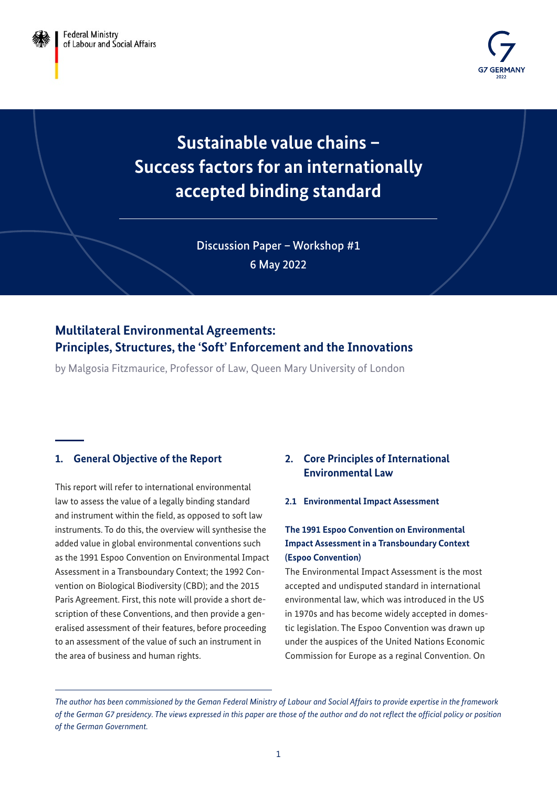

**Sustainable value chains – Success factors for an internationally accepted binding standard**

> Discussion Paper – Workshop #1 6 May 2022

# **Multilateral Environmental Agreements: Principles, Structures, the 'Soft' Enforcement and the Innovations**

by Malgosia Fitzmaurice, Professor of Law, Queen Mary University of London

# **1. General Objective of the Report**

This report will refer to international environmental law to assess the value of a legally binding standard and instrument within the field, as opposed to soft law instruments. To do this, the overview will synthesise the added value in global environmental conventions such as the 1991 Espoo Convention on Environmental Impact Assessment in a Transboundary Context; the 1992 Convention on Biological Biodiversity (CBD); and the 2015 Paris Agreement. First, this note will provide a short description of these Conventions, and then provide a generalised assessment of their features, before proceeding to an assessment of the value of such an instrument in the area of business and human rights.

# **2. Core Principles of International Environmental Law**

#### **2.1 Environmental Impact Assessment**

### **The 1991 Espoo Convention on Environmental Impact Assessment in a Transboundary Context (Espoo Convention)**

The Environmental Impact Assessment is the most accepted and undisputed standard in international environmental law, which was introduced in the US in 1970s and has become widely accepted in domestic legislation. The Espoo Convention was drawn up under the auspices of the United Nations Economic Commission for Europe as a reginal Convention. On

*The author has been commissioned by the Geman Federal Ministry of Labour and Social Affairs to provide expertise in the framework of the German G7 presidency. The views expressed in this paper are those of the author and do not reflect the official policy or position of the German Government.*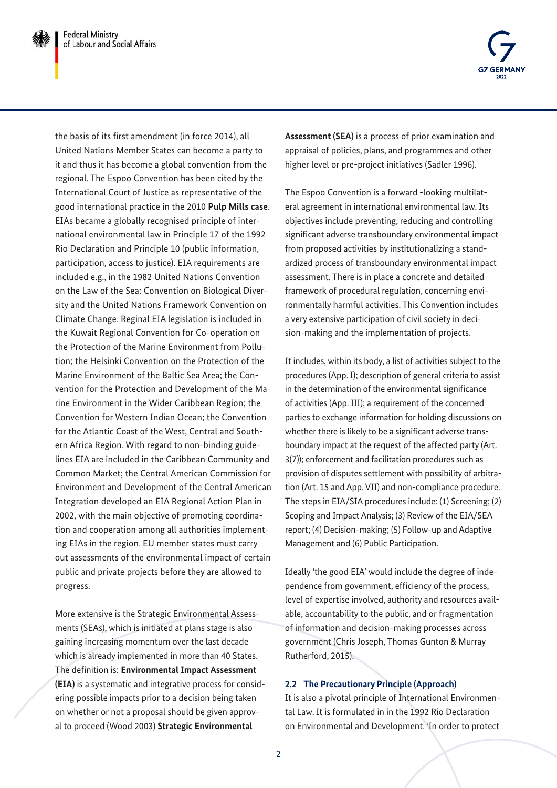

the basis of its first amendment (in force 2014), all United Nations Member States can become a party to it and thus it has become a global convention from the regional. The Espoo Convention has been cited by the International Court of Justice as representative of the good international practice in the 2010 **Pulp Mills case**. EIAs became a globally recognised principle of international environmental law in Principle 17 of the 1992 Rio Declaration and Principle 10 (public information, participation, access to justice). EIA requirements are included e.g., in the 1982 United Nations Convention on the Law of the Sea: Convention on Biological Diversity and the United Nations Framework Convention on Climate Change. Reginal EIA legislation is included in the Kuwait Regional Convention for Co-operation on the Protection of the Marine Environment from Pollution; the Helsinki Convention on the Protection of the Marine Environment of the Baltic Sea Area; the Convention for the Protection and Development of the Marine Environment in the Wider Caribbean Region; the Convention for Western Indian Ocean; the Convention for the Atlantic Coast of the West, Central and Southern Africa Region. With regard to non-binding guidelines EIA are included in the Caribbean Community and Common Market; the Central American Commission for Environment and Development of the Central American Integration developed an EIA Regional Action Plan in 2002, with the main objective of promoting coordination and cooperation among all authorities implementing EIAs in the region. EU member states must carry out assessments of the environmental impact of certain public and private projects before they are allowed to progress.

More extensive is the Strategic Environmental Assessments (SEAs), which is initiated at plans stage is also gaining increasing momentum over the last decade which is already implemented in more than 40 States. The definition is: **Environmental Impact Assessment (EIA)** is a systematic and integrative process for considering possible impacts prior to a decision being taken on whether or not a proposal should be given approval to proceed (Wood 2003) **Strategic Environmental** 

**Assessment (SEA)** is a process of prior examination and appraisal of policies, plans, and programmes and other higher level or pre-project initiatives (Sadler 1996).

The Espoo Convention is a forward -looking multilateral agreement in international environmental law. Its objectives include preventing, reducing and controlling significant adverse transboundary environmental impact from proposed activities by institutionalizing a standardized process of transboundary environmental impact assessment. There is in place a concrete and detailed framework of procedural regulation, concerning environmentally harmful activities. This Convention includes a very extensive participation of civil society in decision-making and the implementation of projects.

It includes, within its body, a list of activities subject to the procedures (App. I); description of general criteria to assist in the determination of the environmental significance of activities (App. III); a requirement of the concerned parties to exchange information for holding discussions on whether there is likely to be a significant adverse transboundary impact at the request of the affected party (Art. 3(7)); enforcement and facilitation procedures such as provision of disputes settlement with possibility of arbitration (Art. 15 and App. VII) and non-compliance procedure. The steps in EIA/SIA procedures include: (1) Screening; (2) Scoping and Impact Analysis; (3) Review of the EIA/SEA report; (4) Decision-making; (5) Follow-up and Adaptive Management and (6) Public Participation.

Ideally 'the good EIA' would include the degree of independence from government, efficiency of the process, level of expertise involved, authority and resources available, accountability to the public, and or fragmentation of information and decision-making processes across government (Chris Joseph, Thomas Gunton & Murray Rutherford, 2015).

### **2.2 The Precautionary Principle (Approach)**

It is also a pivotal principle of International Environmental Law. It is formulated in in the 1992 Rio Declaration on Environmental and Development. 'In order to protect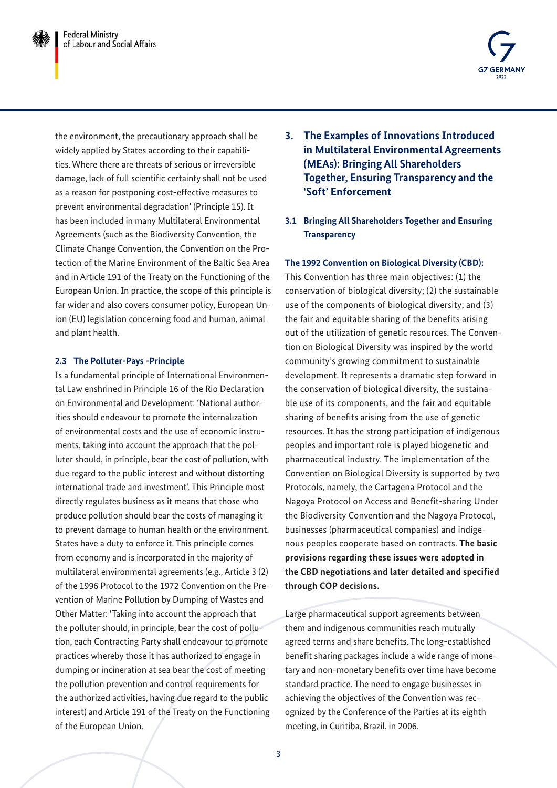

the environment, the precautionary approach shall be widely applied by States according to their capabilities. Where there are threats of serious or irreversible damage, lack of full scientific certainty shall not be used as a reason for postponing cost-effective measures to prevent environmental degradation' (Principle 15). It has been included in many Multilateral Environmental Agreements (such as the Biodiversity Convention, the Climate Change Convention, the Convention on the Protection of the Marine Environment of the Baltic Sea Area and in Article 191 of the Treaty on the Functioning of the European Union. In practice, the scope of this principle is far wider and also covers consumer policy, European Union (EU) legislation concerning food and human, animal and plant health.

### **2.3 The Polluter-Pays -Principle**

Is a fundamental principle of International Environmental Law enshrined in Principle 16 of the Rio Declaration on Environmental and Development: 'National authorities should endeavour to promote the internalization of environmental costs and the use of economic instruments, taking into account the approach that the polluter should, in principle, bear the cost of pollution, with due regard to the public interest and without distorting international trade and investment'. This Principle most directly regulates business as it means that those who produce pollution should bear the costs of managing it to prevent damage to human health or the environment. States have a duty to enforce it. This principle comes from economy and is incorporated in the majority of multilateral environmental agreements (e.g., Article 3 (2) of the 1996 Protocol to the 1972 Convention on the Prevention of Marine Pollution by Dumping of Wastes and Other Matter: 'Taking into account the approach that the polluter should, in principle, bear the cost of pollution, each Contracting Party shall endeavour to promote practices whereby those it has authorized to engage in dumping or incineration at sea bear the cost of meeting the pollution prevention and control requirements for the authorized activities, having due regard to the public interest) and Article 191 of the Treaty on the Functioning of the European Union.

- **3. The Examples of Innovations Introduced in Multilateral Environmental Agreements (MEAs): Bringing All Shareholders Together, Ensuring Transparency and the 'Soft' Enforcement**
- **3.1 Bringing All Shareholders Together and Ensuring Transparency**

### **The 1992 Convention on Biological Diversity (CBD):**

This Convention has three main objectives: (1) the conservation of biological diversity; (2) the sustainable use of the components of biological diversity; and (3) the fair and equitable sharing of the benefits arising out of the utilization of genetic resources. The Convention on Biological Diversity was inspired by the world community's growing commitment to sustainable development. It represents a dramatic step forward in the conservation of biological diversity, the sustainable use of its components, and the fair and equitable sharing of benefits arising from the use of genetic resources. It has the strong participation of indigenous peoples and important role is played biogenetic and pharmaceutical industry. The implementation of the Convention on Biological Diversity is supported by two Protocols, namely, the Cartagena Protocol and the Nagoya Protocol on Access and Benefit-sharing Under the Biodiversity Convention and the Nagoya Protocol, businesses (pharmaceutical companies) and indigenous peoples cooperate based on contracts. **The basic provisions regarding these issues were adopted in the CBD negotiations and later detailed and specified through COP decisions.**

Large pharmaceutical support agreements between them and indigenous communities reach mutually agreed terms and share benefits. The long-established benefit sharing packages include a wide range of monetary and non-monetary benefits over time have become standard practice. The need to engage businesses in achieving the objectives of the Convention was recognized by the Conference of the Parties at its eighth meeting, in Curitiba, Brazil, in 2006.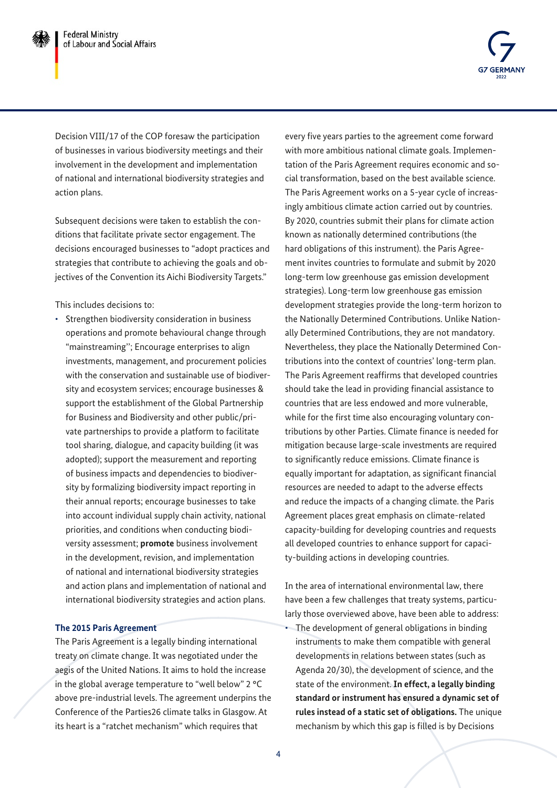

Decision VIII/17 of the COP foresaw the participation of businesses in various biodiversity meetings and their involvement in the development and implementation of national and international biodiversity strategies and action plans.

Subsequent decisions were taken to establish the conditions that facilitate private sector engagement. The decisions encouraged businesses to "adopt practices and strategies that contribute to achieving the goals and objectives of the Convention its Aichi Biodiversity Targets."

This includes decisions to:

• Strengthen biodiversity consideration in business operations and promote behavioural change through "mainstreaming''; Encourage enterprises to align investments, management, and procurement policies with the conservation and sustainable use of biodiversity and ecosystem services; encourage businesses & support the establishment of the Global Partnership for Business and Biodiversity and other public/private partnerships to provide a platform to facilitate tool sharing, dialogue, and capacity building (it was adopted); support the measurement and reporting of business impacts and dependencies to biodiversity by formalizing biodiversity impact reporting in their annual reports; encourage businesses to take into account individual supply chain activity, national priorities, and conditions when conducting biodiversity assessment; **promote** business involvement in the development, revision, and implementation of national and international biodiversity strategies and action plans and implementation of national and international biodiversity strategies and action plans.

#### **The 2015 Paris Agreement**

The Paris Agreement is a legally binding international treaty on climate change. It was negotiated under the aegis of the United Nations. It aims to hold the increase in the global average temperature to "well below" 2 °C above pre-industrial levels. The agreement underpins the Conference of the Parties26 climate talks in Glasgow. At its heart is a "ratchet mechanism" which requires that

every five years parties to the agreement come forward with more ambitious national climate goals. Implementation of the Paris Agreement requires economic and social transformation, based on the best available science. The Paris Agreement works on a 5-year cycle of increasingly ambitious climate action carried out by countries. By 2020, countries submit their plans for climate action known as nationally determined contributions (the hard obligations of this instrument). the Paris Agreement invites countries to formulate and submit by 2020 long-term low greenhouse gas emission development strategies). Long-term low greenhouse gas emission development strategies provide the long-term horizon to the Nationally Determined Contributions. Unlike Nationally Determined Contributions, they are not mandatory. Nevertheless, they place the Nationally Determined Contributions into the context of countries' long-term plan. The Paris Agreement reaffirms that developed countries should take the lead in providing financial assistance to countries that are less endowed and more vulnerable, while for the first time also encouraging voluntary contributions by other Parties. Climate finance is needed for mitigation because large-scale investments are required to significantly reduce emissions. Climate finance is equally important for adaptation, as significant financial resources are needed to adapt to the adverse effects and reduce the impacts of a changing climate. the Paris Agreement places great emphasis on climate-related capacity-building for developing countries and requests all developed countries to enhance support for capacity-building actions in developing countries.

In the area of international environmental law, there have been a few challenges that treaty systems, particularly those overviewed above, have been able to address:

• The development of general obligations in binding instruments to make them compatible with general developments in relations between states (such as Agenda 20/30), the development of science, and the state of the environment. **In effect, a legally binding standard or instrument has ensured a dynamic set of rules instead of a static set of obligations.** The unique mechanism by which this gap is filled is by Decisions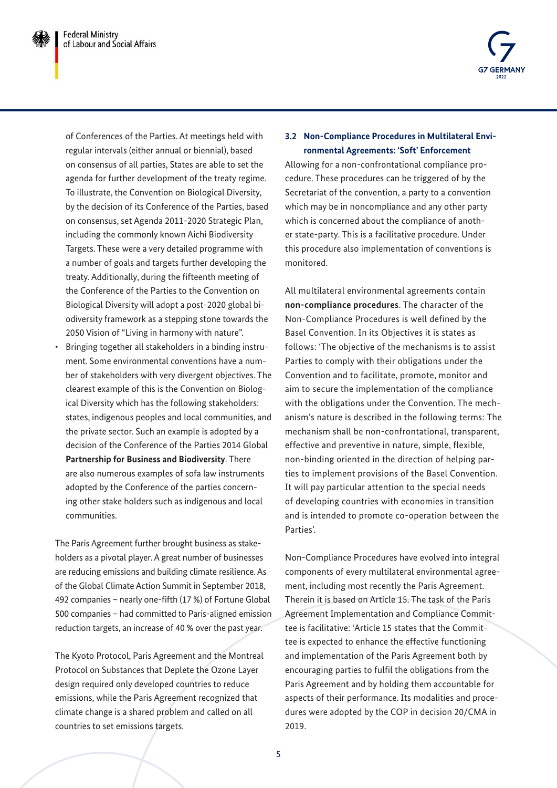

of Conferences of the Parties. At meetings held with regular intervals (either annual or biennial), based on consensus of all parties, States are able to set the agenda for further development of the treaty regime. To illustrate, the Convention on Biological Diversity, by the decision of its Conference of the Parties, based on consensus, set Agenda 2011-2020 Strategic Plan, including the commonly known Aichi Biodiversity Targets. These were a very detailed programme with a number of goals and targets further developing the treaty. Additionally, during the fifteenth meeting of the Conference of the Parties to the Convention on Biological Diversity will adopt a post-2020 global biodiversity framework as a stepping stone towards the 2050 Vision of "Living in harmony with nature".

• Bringing together all stakeholders in a binding instrument. Some environmental conventions have a number of stakeholders with very divergent objectives. The clearest example of this is the Convention on Biological Diversity which has the following stakeholders: states, indigenous peoples and local communities, and the private sector. Such an example is adopted by a decision of the Conference of the Parties 2014 Global **Partnership for Business and Biodiversity**. There are also numerous examples of sofa law instruments adopted by the Conference of the parties concerning other stake holders such as indigenous and local communities.

The Paris Agreement further brought business as stakeholders as a pivotal player. A great number of businesses are reducing emissions and building climate resilience. As of the Global Climate Action Summit in September 2018, 492 companies – nearly one-fifth (17 %) of Fortune Global 500 companies – had committed to Paris-aligned emission reduction targets, an increase of 40 % over the past year.

The Kyoto Protocol, Paris Agreement and the Montreal Protocol on Substances that Deplete the Ozone Layer design required only developed countries to reduce emissions, while the Paris Agreement recognized that climate change is a shared problem and called on all countries to set emissions targets.

### **3.2 Non-Compliance Procedures in Multilateral Environmental Agreements: 'Soft' Enforcement**

Allowing for a non-confrontational compliance procedure. These procedures can be triggered of by the Secretariat of the convention, a party to a convention which may be in noncompliance and any other party which is concerned about the compliance of another state-party. This is a facilitative procedure. Under this procedure also implementation of conventions is monitored.

All multilateral environmental agreements contain **non-compliance procedures**. The character of the Non-Compliance Procedures is well defined by the Basel Convention. In its Objectives it is states as follows: 'The objective of the mechanisms is to assist Parties to comply with their obligations under the Convention and to facilitate, promote, monitor and aim to secure the implementation of the compliance with the obligations under the Convention. The mechanism's nature is described in the following terms: The mechanism shall be non-confrontational, transparent, effective and preventive in nature, simple, flexible, non-binding oriented in the direction of helping parties to implement provisions of the Basel Convention. It will pay particular attention to the special needs of developing countries with economies in transition and is intended to promote co-operation between the Parties'.

Non-Compliance Procedures have evolved into integral components of every multilateral environmental agreement, including most recently the Paris Agreement. Therein it is based on Article 15. The task of the Paris Agreement Implementation and Compliance Committee is facilitative: 'Article 15 states that the Committee is expected to enhance the effective functioning and implementation of the Paris Agreement both by encouraging parties to fulfil the obligations from the Paris Agreement and by holding them accountable for aspects of their performance. Its modalities and procedures were adopted by the COP in decision 20/CMA in 2019.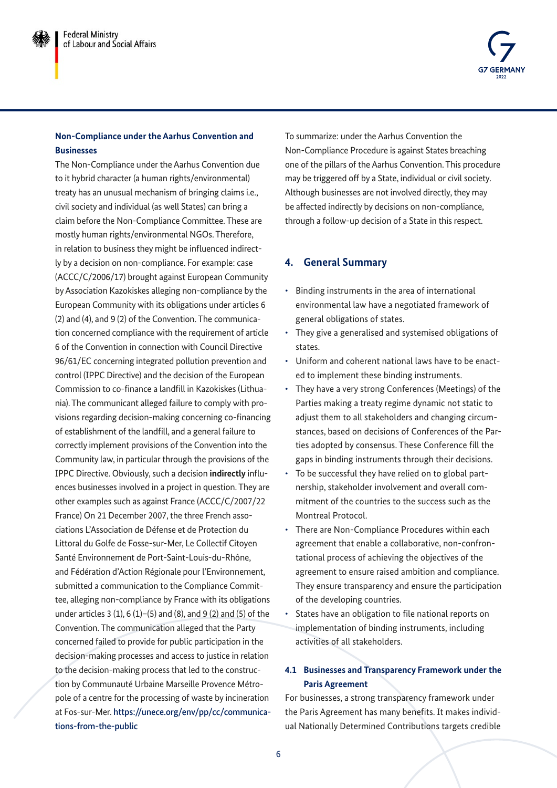### **Non-Compliance under the Aarhus Convention and Businesses**

The Non-Compliance under the Aarhus Convention due to it hybrid character (a human rights/environmental) treaty has an unusual mechanism of bringing claims i.e., civil society and individual (as well States) can bring a claim before the Non-Compliance Committee. These are mostly human rights/environmental NGOs. Therefore, in relation to business they might be influenced indirectly by a decision on non-compliance. For example: case (ACCC/C/2006/17) brought against European Community by Association Kazokiskes alleging non-compliance by the European Community with its obligations under articles 6 (2) and (4), and 9 (2) of the Convention. The communication concerned compliance with the requirement of article 6 of the Convention in connection with Council Directive 96/61/EC concerning integrated pollution prevention and control (IPPC Directive) and the decision of the European Commission to co-finance a landfill in Kazokiskes (Lithuania). The communicant alleged failure to comply with provisions regarding decision-making concerning co-financing of establishment of the landfill, and a general failure to correctly implement provisions of the Convention into the Community law, in particular through the provisions of the IPPC Directive. Obviously, such a decision **indirectly** influences businesses involved in a project in question. They are other examples such as against France (ACCC/C/2007/22 France) On 21 December 2007, the three French associations L'Association de Défense et de Protection du Littoral du Golfe de Fosse-sur-Mer, Le Collectif Citoyen Santé Environnement de Port-Saint-Louis-du-Rhône, and Fédération d'Action Régionale pour l'Environnement, submitted a communication to the Compliance Committee, alleging non-compliance by France with its obligations under articles  $3(1)$ ,  $6(1)$ – $(5)$  and  $(8)$ , and  $9(2)$  and  $(5)$  of the Convention. The communication alleged that the Party concerned failed to provide for public participation in the decision-making processes and access to justice in relation to the decision-making process that led to the construction by Communauté Urbaine Marseille Provence Métropole of a centre for the processing of waste by incineration at Fos-sur-Mer. [https://unece.org/env/pp/cc/communica](https://unece.org/env/pp/cc/communications-from-the-public)[tions-from-the-public](https://unece.org/env/pp/cc/communications-from-the-public)

To summarize: under the Aarhus Convention the Non-Compliance Procedure is against States breaching one of the pillars of the Aarhus Convention. This procedure may be triggered off by a State, individual or civil society. Although businesses are not involved directly, they may be affected indirectly by decisions on non-compliance, through a follow-up decision of a State in this respect.

## **4. General Summary**

- Binding instruments in the area of international environmental law have a negotiated framework of general obligations of states.
- They give a generalised and systemised obligations of states.
- Uniform and coherent national laws have to be enacted to implement these binding instruments.
- They have a very strong Conferences (Meetings) of the Parties making a treaty regime dynamic not static to adjust them to all stakeholders and changing circumstances, based on decisions of Conferences of the Parties adopted by consensus. These Conference fill the gaps in binding instruments through their decisions.
- To be successful they have relied on to global partnership, stakeholder involvement and overall commitment of the countries to the success such as the Montreal Protocol.
- There are Non-Compliance Procedures within each agreement that enable a collaborative, non-confrontational process of achieving the objectives of the agreement to ensure raised ambition and compliance. They ensure transparency and ensure the participation of the developing countries.
- States have an obligation to file national reports on implementation of binding instruments, including activities of all stakeholders.

### **4.1 Businesses and Transparency Framework under the Paris Agreement**

For businesses, a strong transparency framework under the Paris Agreement has many benefits. It makes individual Nationally Determined Contributions targets credible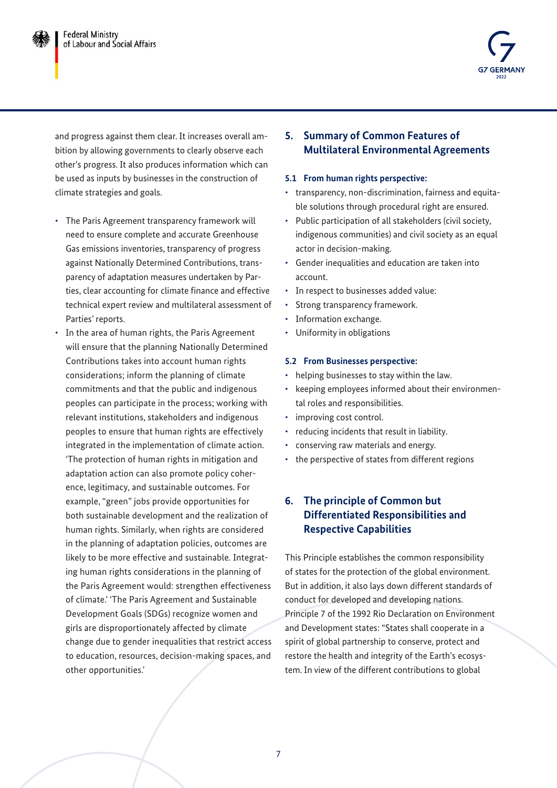

and progress against them clear. It increases overall ambition by allowing governments to clearly observe each other's progress. It also produces information which can be used as inputs by businesses in the construction of climate strategies and goals.

- The Paris Agreement transparency framework will need to ensure complete and accurate Greenhouse Gas emissions inventories, transparency of progress against Nationally Determined Contributions, transparency of adaptation measures undertaken by Parties, clear accounting for climate finance and effective technical expert review and multilateral assessment of Parties' reports.
- In the area of human rights, the Paris Agreement will ensure that the planning Nationally Determined Contributions takes into account human rights considerations; inform the planning of climate commitments and that the public and indigenous peoples can participate in the process; working with relevant institutions, stakeholders and indigenous peoples to ensure that human rights are effectively integrated in the implementation of climate action. 'The protection of human rights in mitigation and adaptation action can also promote policy coherence, legitimacy, and sustainable outcomes. For example, "green" jobs provide opportunities for both sustainable development and the realization of human rights. Similarly, when rights are considered in the planning of adaptation policies, outcomes are likely to be more effective and sustainable. Integrating human rights considerations in the planning of the Paris Agreement would: strengthen effectiveness of climate.' 'The Paris Agreement and Sustainable Development Goals (SDGs) recognize women and girls are disproportionately affected by climate change due to gender inequalities that restrict access to education, resources, decision-making spaces, and other opportunities.'

## **5. Summary of Common Features of Multilateral Environmental Agreements**

#### **5.1 From human rights perspective:**

- transparency, non-discrimination, fairness and equitable solutions through procedural right are ensured.
- Public participation of all stakeholders (civil society, indigenous communities) and civil society as an equal actor in decision-making.
- Gender inequalities and education are taken into account.
- In respect to businesses added value:
- Strong transparency framework.
- Information exchange.
- Uniformity in obligations

#### **5.2 From Businesses perspective:**

- helping businesses to stay within the law.
- keeping employees informed about their environmental roles and responsibilities.
- improving cost control.
- reducing incidents that result in liability.
- conserving raw materials and energy.
- the perspective of states from different regions

### **6. The principle of Common but Differentiated Responsibilities and Respective Capabilities**

This Principle establishes the common responsibility of states for the protection of the global environment. But in addition, it also lays down different standards of conduct for developed and developing nations. Principle 7 of the 1992 Rio Declaration on Environment and Development states: "States shall cooperate in a spirit of global partnership to conserve, protect and restore the health and integrity of the Earth's ecosystem. In view of the different contributions to global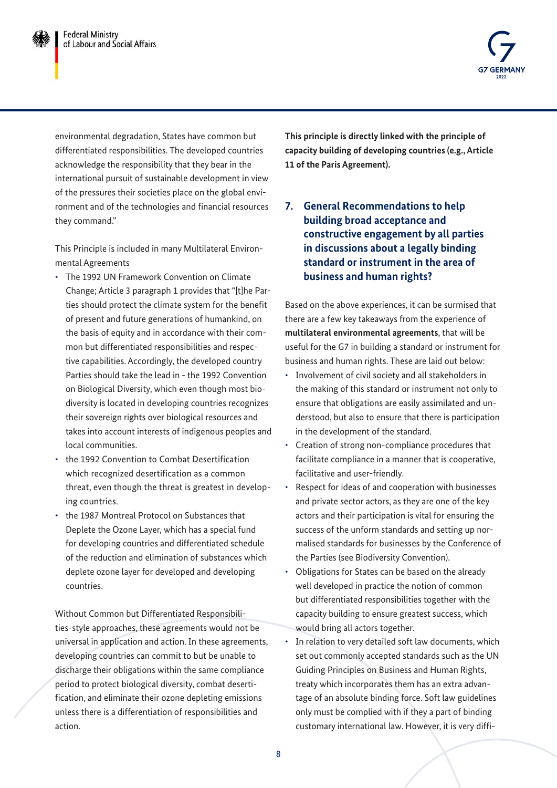

environmental degradation, States have common but differentiated responsibilities. The developed countries acknowledge the responsibility that they bear in the international pursuit of sustainable development in view of the pressures their societies place on the global environment and of the technologies and financial resources they command."

This Principle is included in many Multilateral Environmental Agreements

- The 1992 UN Framework Convention on Climate Change; Article 3 paragraph 1 provides that "[t]he Parties should protect the climate system for the benefit of present and future generations of humankind, on the basis of equity and in accordance with their common but differentiated responsibilities and respective capabilities. Accordingly, the developed country Parties should take the lead in - the 1992 Convention on Biological Diversity, which even though most biodiversity is located in developing countries recognizes their sovereign rights over biological resources and takes into account interests of indigenous peoples and local communities.
- the 1992 Convention to Combat Desertification which recognized desertification as a common threat, even though the threat is greatest in developing countries.
- the 1987 Montreal Protocol on Substances that Deplete the Ozone Layer, which has a special fund for developing countries and differentiated schedule of the reduction and elimination of substances which deplete ozone layer for developed and developing countries.

Without Common but Differentiated Responsibilities-style approaches, these agreements would not be universal in application and action. In these agreements, developing countries can commit to but be unable to discharge their obligations within the same compliance period to protect biological diversity, combat desertification, and eliminate their ozone depleting emissions unless there is a differentiation of responsibilities and action.

**This principle is directly linked with the principle of capacity building of developing countries (e.g., Article 11 of the Paris Agreement).**

**7. General Recommendations to help building broad acceptance and constructive engagement by all parties in discussions about a legally binding standard or instrument in the area of business and human rights?**

Based on the above experiences, it can be surmised that there are a few key takeaways from the experience of **multilateral environmental agreements**, that will be useful for the G7 in building a standard or instrument for business and human rights. These are laid out below:

- Involvement of civil society and all stakeholders in the making of this standard or instrument not only to ensure that obligations are easily assimilated and understood, but also to ensure that there is participation in the development of the standard.
- Creation of strong non-compliance procedures that facilitate compliance in a manner that is cooperative, facilitative and user-friendly.
- Respect for ideas of and cooperation with businesses and private sector actors, as they are one of the key actors and their participation is vital for ensuring the success of the unform standards and setting up normalised standards for businesses by the Conference of the Parties (see Biodiversity Convention).
- Obligations for States can be based on the already well developed in practice the notion of common but differentiated responsibilities together with the capacity building to ensure greatest success, which would bring all actors together.
- In relation to very detailed soft law documents, which set out commonly accepted standards such as the UN Guiding Principles on Business and Human Rights, treaty which incorporates them has an extra advantage of an absolute binding force. Soft law guidelines only must be complied with if they a part of binding customary international law. However, it is very diffi-